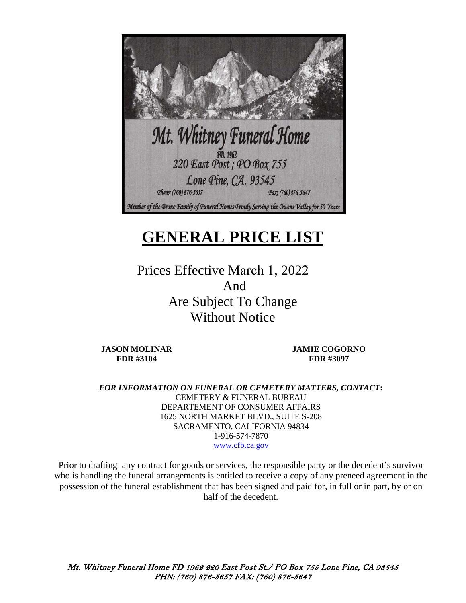

# **GENERAL PRICE LIST**

Prices Effective March 1, 2022 And Are Subject To Change Without Notice

**JASON MOLINAR FDR #3104** 

**JAMIE COGORNO FDR #3097** 

*FOR INFORMATION ON FUNERAL OR CEMETERY MATTERS, CONTACT***:** 

CEMETERY & FUNERAL BUREAU DEPARTEMENT OF CONSUMER AFFAIRS 1625 NORTH MARKET BLVD., SUITE S-208 SACRAMENTO, CALIFORNIA 94834 1-916-574-7870 [www.cfb.ca.gov](http://www.cfb.ca.gov/)

Prior to drafting any contract for goods or services, the responsible party or the decedent's survivor who is handling the funeral arrangements is entitled to receive a copy of any preneed agreement in the possession of the funeral establishment that has been signed and paid for, in full or in part, by or on half of the decedent.

Mt. Whitney Funeral Home FD 1962 220 East Post St./ PO Box 755 Lone Pine, CA 93545 PHN: (760) 876-5657 FAX: (760) 876-5647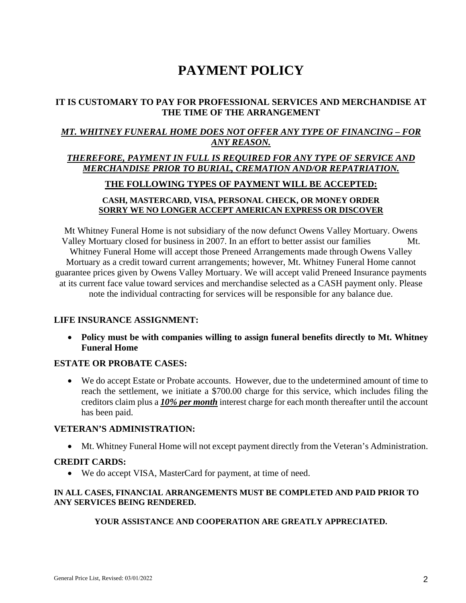## **PAYMENT POLICY**

### **IT IS CUSTOMARY TO PAY FOR PROFESSIONAL SERVICES AND MERCHANDISE AT THE TIME OF THE ARRANGEMENT**

### *MT. WHITNEY FUNERAL HOME DOES NOT OFFER ANY TYPE OF FINANCING – FOR ANY REASON.*

### *THEREFORE, PAYMENT IN FULL IS REQUIRED FOR ANY TYPE OF SERVICE AND MERCHANDISE PRIOR TO BURIAL, CREMATION AND/OR REPATRIATION.*

### **THE FOLLOWING TYPES OF PAYMENT WILL BE ACCEPTED:**

### **CASH, MASTERCARD, VISA, PERSONAL CHECK, OR MONEY ORDER SORRY WE NO LONGER ACCEPT AMERICAN EXPRESS OR DISCOVER**

Mt Whitney Funeral Home is not subsidiary of the now defunct Owens Valley Mortuary. Owens Valley Mortuary closed for business in 2007. In an effort to better assist our families Mt. Whitney Funeral Home will accept those Preneed Arrangements made through Owens Valley Mortuary as a credit toward current arrangements; however, Mt. Whitney Funeral Home cannot guarantee prices given by Owens Valley Mortuary. We will accept valid Preneed Insurance payments at its current face value toward services and merchandise selected as a CASH payment only. Please note the individual contracting for services will be responsible for any balance due.

### **LIFE INSURANCE ASSIGNMENT:**

• **Policy must be with companies willing to assign funeral benefits directly to Mt. Whitney Funeral Home**

### **ESTATE OR PROBATE CASES:**

• We do accept Estate or Probate accounts. However, due to the undetermined amount of time to reach the settlement, we initiate a \$700.00 charge for this service, which includes filing the creditors claim plus a *10% per month* interest charge for each month thereafter until the account has been paid.

### **VETERAN'S ADMINISTRATION:**

• Mt. Whitney Funeral Home will not except payment directly from the Veteran's Administration.

### **CREDIT CARDS:**

• We do accept VISA, MasterCard for payment, at time of need.

### **IN ALL CASES, FINANCIAL ARRANGEMENTS MUST BE COMPLETED AND PAID PRIOR TO ANY SERVICES BEING RENDERED.**

### **YOUR ASSISTANCE AND COOPERATION ARE GREATLY APPRECIATED.**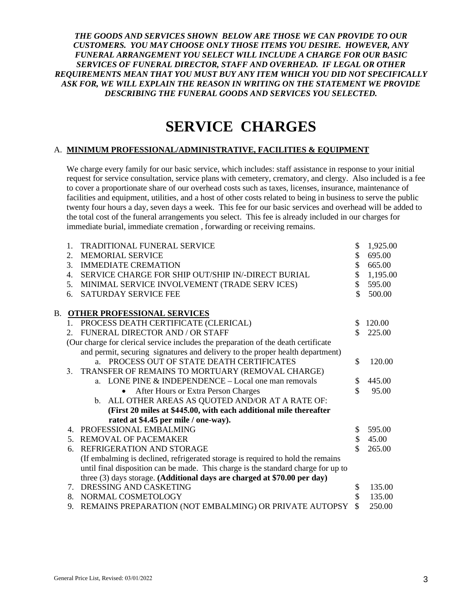*THE GOODS AND SERVICES SHOWN BELOW ARE THOSE WE CAN PROVIDE TO OUR CUSTOMERS. YOU MAY CHOOSE ONLY THOSE ITEMS YOU DESIRE. HOWEVER, ANY FUNERAL ARRANGEMENT YOU SELECT WILL INCLUDE A CHARGE FOR OUR BASIC SERVICES OF FUNERAL DIRECTOR, STAFF AND OVERHEAD. IF LEGAL OR OTHER REQUIREMENTS MEAN THAT YOU MUST BUY ANY ITEM WHICH YOU DID NOT SPECIFICALLY*  ASK FOR, WE WILL EXPLAIN THE REASON IN WRITING ON THE STATEMENT WE PROVIDE *DESCRIBING THE FUNERAL GOODS AND SERVICES YOU SELECTED.*

## **SERVICE CHARGES**

#### A. **MINIMUM PROFESSIONAL/ADMINISTRATIVE, FACILITIES & EQUIPMENT**

We charge every family for our basic service, which includes: staff assistance in response to your initial request for service consultation, service plans with cemetery, crematory, and clergy. Also included is a fee to cover a proportionate share of our overhead costs such as taxes, licenses, insurance, maintenance of facilities and equipment, utilities, and a host of other costs related to being in business to serve the public twenty four hours a day, seven days a week. This fee for our basic services and overhead will be added to the total cost of the funeral arrangements you select. This fee is already included in our charges for immediate burial, immediate cremation , forwarding or receiving remains.

|    | $1_{-}$ | <b>TRADITIONAL FUNERAL SERVICE</b>                                                 | \$                 | 1,925.00 |
|----|---------|------------------------------------------------------------------------------------|--------------------|----------|
|    | 2.      | <b>MEMORIAL SERVICE</b>                                                            | \$                 | 695.00   |
|    | 3.      | <b>IMMEDIATE CREMATION</b>                                                         | \$                 | 665.00   |
|    | 4.      | SERVICE CHARGE FOR SHIP OUT/SHIP IN/-DIRECT BURIAL                                 | \$                 | 1,195.00 |
|    | 5.      | MINIMAL SERVICE INVOLVEMENT (TRADE SERV ICES)                                      | $\mathbf{\hat{S}}$ | 595.00   |
|    | 6.      | <b>SATURDAY SERVICE FEE</b>                                                        | \$                 | 500.00   |
|    |         |                                                                                    |                    |          |
| В. |         | <b>OTHER PROFESSIONAL SERVICES</b>                                                 |                    |          |
|    |         | 1. PROCESS DEATH CERTIFICATE (CLERICAL)                                            | S                  | 120.00   |
|    | 2.      | FUNERAL DIRECTOR AND / OR STAFF                                                    | \$                 | 225.00   |
|    |         | (Our charge for clerical service includes the preparation of the death certificate |                    |          |
|    |         | and permit, securing signatures and delivery to the proper health department)      |                    |          |
|    |         | a. PROCESS OUT OF STATE DEATH CERTIFICATES                                         | \$                 | 120.00   |
|    |         | 3. TRANSFER OF REMAINS TO MORTUARY (REMOVAL CHARGE)                                |                    |          |
|    |         | a. LONE PINE & INDEPENDENCE - Local one man removals                               | \$                 | 445.00   |
|    |         | After Hours or Extra Person Charges                                                | \$                 | 95.00    |
|    |         | b. ALL OTHER AREAS AS QUOTED AND/OR AT A RATE OF:                                  |                    |          |
|    |         | (First 20 miles at \$445.00, with each additional mile thereafter                  |                    |          |
|    |         | rated at \$4.45 per mile / one-way).                                               |                    |          |
|    | 4.      | PROFESSIONAL EMBALMING                                                             | \$                 | 595.00   |
|    |         | 5. REMOVAL OF PACEMAKER                                                            | \$                 | 45.00    |
|    | б.      | REFRIGERATION AND STORAGE                                                          | \$                 | 265.00   |
|    |         | (If embalming is declined, refrigerated storage is required to hold the remains    |                    |          |
|    |         | until final disposition can be made. This charge is the standard charge for up to  |                    |          |
|    |         | three (3) days storage. (Additional days are charged at \$70.00 per day)           |                    |          |
|    |         | 7. DRESSING AND CASKETING                                                          | \$                 | 135.00   |
|    | 8.      | NORMAL COSMETOLOGY                                                                 | \$                 | 135.00   |
|    | 9.      | REMAINS PREPARATION (NOT EMBALMING) OR PRIVATE AUTOPSY                             | \$                 | 250.00   |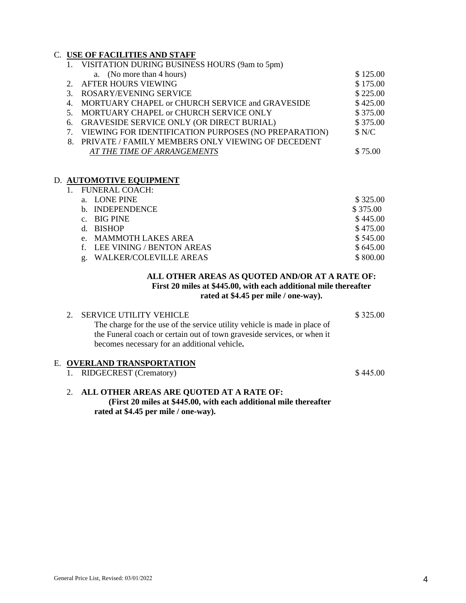### C. **USE OF FACILITIES AND STAFF**

|               | 1. VISITATION DURING BUSINESS HOURS (9am to 5pm)        |          |
|---------------|---------------------------------------------------------|----------|
|               | a. (No more than 4 hours)                               | \$125.00 |
|               | 2. AFTER HOURS VIEWING                                  | \$175.00 |
| $\mathcal{R}$ | <b>ROSARY/EVENING SERVICE</b>                           | \$225.00 |
|               | 4. MORTUARY CHAPEL or CHURCH SERVICE and GRAVESIDE      | \$425.00 |
|               | 5. MORTUARY CHAPEL or CHURCH SERVICE ONLY               | \$375.00 |
|               | 6. GRAVESIDE SERVICE ONLY (OR DIRECT BURIAL)            | \$375.00 |
|               | 7. VIEWING FOR IDENTIFICATION PURPOSES (NO PREPARATION) | \$ N/C   |
|               | 8. PRIVATE / FAMILY MEMBERS ONLY VIEWING OF DECEDENT    |          |
|               | AT THE TIME OF ARRANGEMENTS                             | \$75.00  |
|               |                                                         |          |

#### D. **AUTOMOTIVE EQUIPMENT**

| FUNERAL COACH:                |          |
|-------------------------------|----------|
| a. LONE PINE                  | \$325.00 |
| b. INDEPENDENCE               | \$375.00 |
| $c.$ BIG PINE                 | \$445.00 |
| d. BISHOP                     | \$475.00 |
| e. MAMMOTH LAKES AREA         | \$545.00 |
| f. LEE VINING / BENTON AREAS  | \$645.00 |
| <b>WALKER/COLEVILLE AREAS</b> | \$800.00 |

### **ALL OTHER AREAS AS QUOTED AND/OR AT A RATE OF: First 20 miles at \$445.00, with each additional mile thereafter rated at \$4.45 per mile / one-way).**

|  | 2. SERVICE UTILITY VEHICLE                                                | \$325.00 |
|--|---------------------------------------------------------------------------|----------|
|  | The charge for the use of the service utility vehicle is made in place of |          |
|  | the Funeral coach or certain out of town graveside services, or when it   |          |
|  | becomes necessary for an additional vehicle.                              |          |
|  |                                                                           |          |
|  | E. OVERLAND TRANSPORTATION                                                |          |
|  | 1. RIDGECREST (Crematory)                                                 | \$445.00 |

#### 2. **ALL OTHER AREAS ARE QUOTED AT A RATE OF: (First 20 miles at \$445.00, with each additional mile thereafter rated at \$4.45 per mile / one-way).**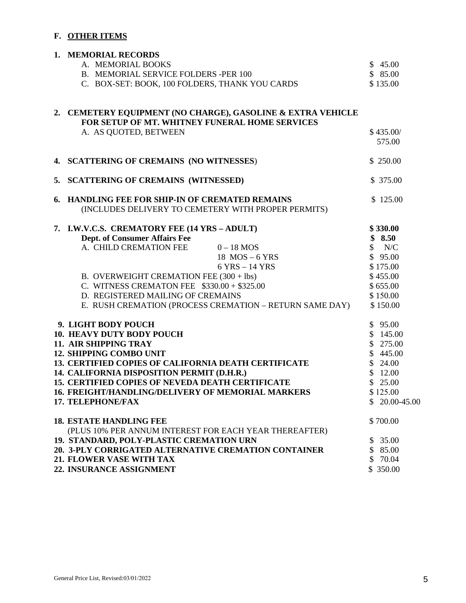### **F. OTHER ITEMS**

| 1. MEMORIAL RECORDS                                                                                           |                |
|---------------------------------------------------------------------------------------------------------------|----------------|
| A. MEMORIAL BOOKS                                                                                             | \$45.00        |
| B. MEMORIAL SERVICE FOLDERS -PER 100                                                                          | \$85.00        |
| C. BOX-SET: BOOK, 100 FOLDERS, THANK YOU CARDS                                                                | \$135.00       |
|                                                                                                               |                |
| 2. CEMETERY EQUIPMENT (NO CHARGE), GASOLINE & EXTRA VEHICLE<br>FOR SETUP OF MT. WHITNEY FUNERAL HOME SERVICES |                |
| A. AS QUOTED, BETWEEN                                                                                         | \$435.00/      |
|                                                                                                               | 575.00         |
|                                                                                                               |                |
| 4. SCATTERING OF CREMAINS (NO WITNESSES)                                                                      | \$250.00       |
|                                                                                                               |                |
| 5. SCATTERING OF CREMAINS (WITNESSED)                                                                         | \$375.00       |
| 6. HANDLING FEE FOR SHIP-IN OF CREMATED REMAINS                                                               | \$125.00       |
| (INCLUDES DELIVERY TO CEMETERY WITH PROPER PERMITS)                                                           |                |
|                                                                                                               |                |
| 7. I.W.V.C.S. CREMATORY FEE (14 YRS - ADULT)                                                                  | \$330.00       |
| <b>Dept. of Consumer Affairs Fee</b>                                                                          | \$8.50         |
| A. CHILD CREMATION FEE $0-18$ MOS                                                                             | N/C            |
| 18 $MOS - 6$ YRS                                                                                              | \$95.00        |
| 6 YRS - 14 YRS                                                                                                | \$175.00       |
| B. OVERWEIGHT CREMATION FEE $(300 + 1bs)$                                                                     | \$455.00       |
| C. WITNESS CREMATON FEE $$330.00 + $325.00$                                                                   | \$655.00       |
| D. REGISTERED MAILING OF CREMAINS                                                                             | \$150.00       |
| E. RUSH CREMATION (PROCESS CREMATION – RETURN SAME DAY)                                                       | \$150.00       |
| 9. LIGHT BODY POUCH                                                                                           | \$95.00        |
| <b>10. HEAVY DUTY BODY POUCH</b>                                                                              | \$145.00       |
| 11. AIR SHIPPING TRAY                                                                                         | \$275.00       |
| <b>12. SHIPPING COMBO UNIT</b>                                                                                | \$445.00       |
| 13. CERTIFIED COPIES OF CALIFORNIA DEATH CERTIFICATE                                                          | \$24.00        |
| 14. CALIFORNIA DISPOSITION PERMIT (D.H.R.)                                                                    | \$12.00        |
| 15. CERTIFIED COPIES OF NEVEDA DEATH CERTIFICATE                                                              | \$25.00        |
| 16. FREIGHT/HANDLING/DELIVERY OF MEMORIAL MARKERS                                                             | \$125.00       |
| 17. TELEPHONE/FAX                                                                                             | $$20.00-45.00$ |
| <b>18. ESTATE HANDLING FEE</b>                                                                                | \$700.00       |
| (PLUS 10% PER ANNUM INTEREST FOR EACH YEAR THEREAFTER)                                                        |                |
| 19. STANDARD, POLY-PLASTIC CREMATION URN                                                                      | \$35.00        |
| 20. 3-PLY CORRIGATED ALTERNATIVE CREMATION CONTAINER                                                          | \$85.00        |
| 21. FLOWER VASE WITH TAX                                                                                      | \$70.04        |
| 22. INSURANCE ASSIGNMENT                                                                                      | \$ 350.00      |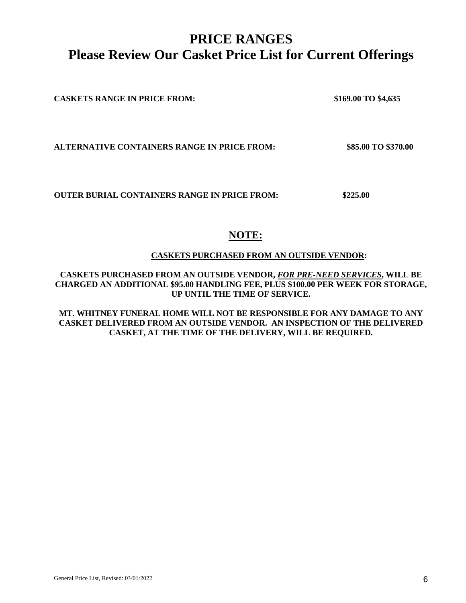### **PRICE RANGES Please Review Our Casket Price List for Current Offerings**

**CASKETS RANGE IN PRICE FROM: \$169.00 TO \$4,635**

**ALTERNATIVE CONTAINERS RANGE IN PRICE FROM: \$85.00 TO \$370.00** 

**OUTER BURIAL CONTAINERS RANGE IN PRICE FROM: \$225.00** 

### **NOTE:**

### **CASKETS PURCHASED FROM AN OUTSIDE VENDOR:**

**CASKETS PURCHASED FROM AN OUTSIDE VENDOR,** *FOR PRE-NEED SERVICES***, WILL BE CHARGED AN ADDITIONAL \$95.00 HANDLING FEE, PLUS \$100.00 PER WEEK FOR STORAGE, UP UNTIL THE TIME OF SERVICE.** 

**MT. WHITNEY FUNERAL HOME WILL NOT BE RESPONSIBLE FOR ANY DAMAGE TO ANY CASKET DELIVERED FROM AN OUTSIDE VENDOR. AN INSPECTION OF THE DELIVERED CASKET, AT THE TIME OF THE DELIVERY, WILL BE REQUIRED.**